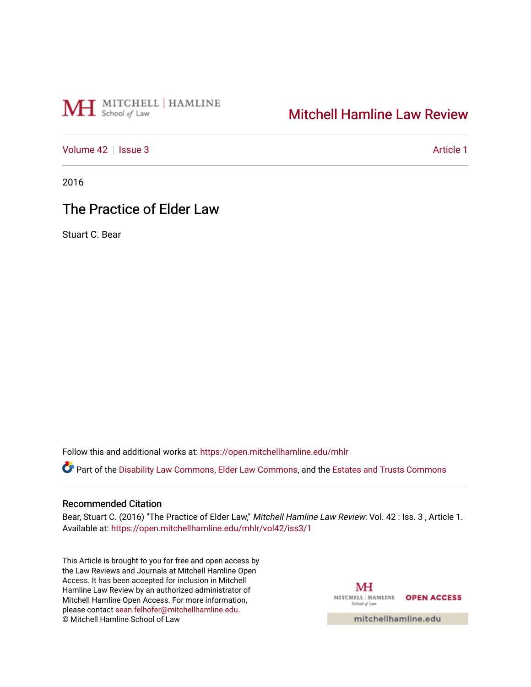# MH School of Law

# [Mitchell Hamline Law Review](https://open.mitchellhamline.edu/mhlr)

[Volume 42](https://open.mitchellhamline.edu/mhlr/vol42) | [Issue 3](https://open.mitchellhamline.edu/mhlr/vol42/iss3) Article 1

2016

# The Practice of Elder Law

Stuart C. Bear

Follow this and additional works at: [https://open.mitchellhamline.edu/mhlr](https://open.mitchellhamline.edu/mhlr?utm_source=open.mitchellhamline.edu%2Fmhlr%2Fvol42%2Fiss3%2F1&utm_medium=PDF&utm_campaign=PDFCoverPages) 

Part of the [Disability Law Commons](http://network.bepress.com/hgg/discipline/1074?utm_source=open.mitchellhamline.edu%2Fmhlr%2Fvol42%2Fiss3%2F1&utm_medium=PDF&utm_campaign=PDFCoverPages), [Elder Law Commons](http://network.bepress.com/hgg/discipline/842?utm_source=open.mitchellhamline.edu%2Fmhlr%2Fvol42%2Fiss3%2F1&utm_medium=PDF&utm_campaign=PDFCoverPages), and the Estates and Trusts Commons

# Recommended Citation

Bear, Stuart C. (2016) "The Practice of Elder Law," Mitchell Hamline Law Review: Vol. 42 : Iss. 3 , Article 1. Available at: [https://open.mitchellhamline.edu/mhlr/vol42/iss3/1](https://open.mitchellhamline.edu/mhlr/vol42/iss3/1?utm_source=open.mitchellhamline.edu%2Fmhlr%2Fvol42%2Fiss3%2F1&utm_medium=PDF&utm_campaign=PDFCoverPages) 

This Article is brought to you for free and open access by the Law Reviews and Journals at Mitchell Hamline Open Access. It has been accepted for inclusion in Mitchell Hamline Law Review by an authorized administrator of Mitchell Hamline Open Access. For more information, please contact [sean.felhofer@mitchellhamline.edu.](mailto:sean.felhofer@mitchellhamline.edu) © Mitchell Hamline School of Law

MH MITCHELL | HAMLINE OPEN ACCESS School of Law

mitchellhamline.edu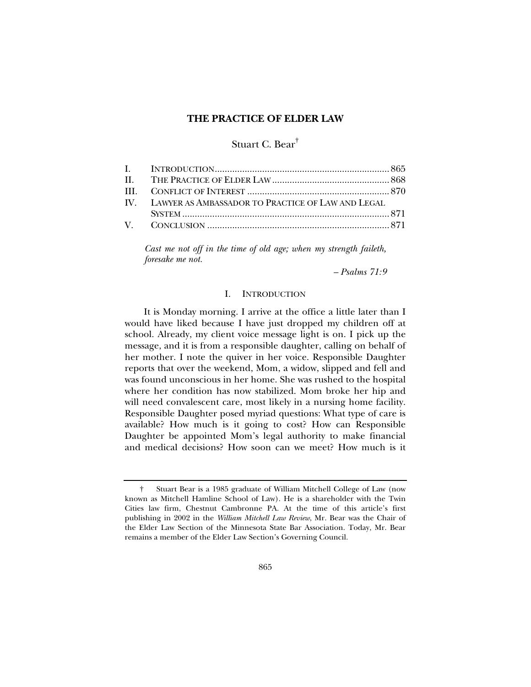### **THE PRACTICE OF ELDER LAW**

# Stuart C. Bear†

| IV. LAWYER AS AMBASSADOR TO PRACTICE OF LAW AND LEGAL |  |
|-------------------------------------------------------|--|
|                                                       |  |
|                                                       |  |

*Cast me not off in the time of old age; when my strength faileth, foresake me not.* 

*– Psalms 71:9* 

#### I. INTRODUCTION

It is Monday morning. I arrive at the office a little later than I would have liked because I have just dropped my children off at school. Already, my client voice message light is on. I pick up the message, and it is from a responsible daughter, calling on behalf of her mother. I note the quiver in her voice. Responsible Daughter reports that over the weekend, Mom, a widow, slipped and fell and was found unconscious in her home. She was rushed to the hospital where her condition has now stabilized. Mom broke her hip and will need convalescent care, most likely in a nursing home facility. Responsible Daughter posed myriad questions: What type of care is available? How much is it going to cost? How can Responsible Daughter be appointed Mom's legal authority to make financial and medical decisions? How soon can we meet? How much is it

 <sup>†</sup> Stuart Bear is a 1985 graduate of William Mitchell College of Law (now known as Mitchell Hamline School of Law). He is a shareholder with the Twin Cities law firm, Chestnut Cambronne PA. At the time of this article's first publishing in 2002 in the *William Mitchell Law Review*, Mr. Bear was the Chair of the Elder Law Section of the Minnesota State Bar Association. Today, Mr. Bear remains a member of the Elder Law Section's Governing Council.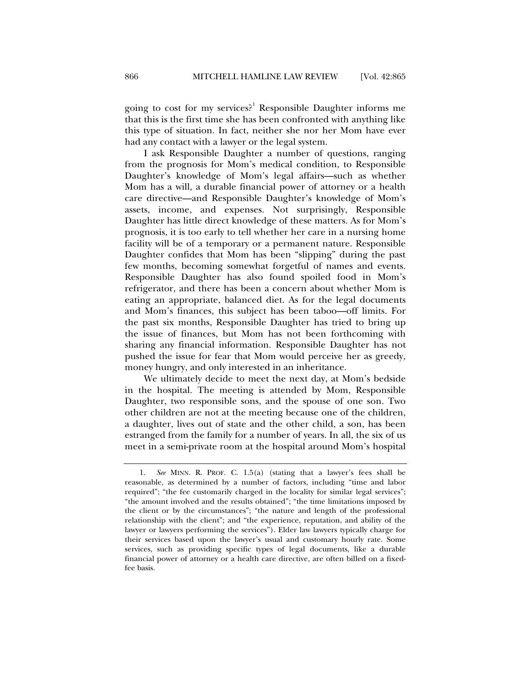going to cost for my services?<sup>1</sup> Responsible Daughter informs me that this is the first time she has been confronted with anything like this type of situation. In fact, neither she nor her Mom have ever had any contact with a lawyer or the legal system.

I ask Responsible Daughter a number of questions, ranging from the prognosis for Mom's medical condition, to Responsible Daughter's knowledge of Mom's legal affairs—such as whether Mom has a will, a durable financial power of attorney or a health care directive—and Responsible Daughter's knowledge of Mom's assets, income, and expenses. Not surprisingly, Responsible Daughter has little direct knowledge of these matters. As for Mom's prognosis, it is too early to tell whether her care in a nursing home facility will be of a temporary or a permanent nature. Responsible Daughter confides that Mom has been "slipping" during the past few months, becoming somewhat forgetful of names and events. Responsible Daughter has also found spoiled food in Mom's refrigerator, and there has been a concern about whether Mom is eating an appropriate, balanced diet. As for the legal documents and Mom's finances, this subject has been taboo—off limits. For the past six months, Responsible Daughter has tried to bring up the issue of finances, but Mom has not been forthcoming with sharing any financial information. Responsible Daughter has not pushed the issue for fear that Mom would perceive her as greedy, money hungry, and only interested in an inheritance.

We ultimately decide to meet the next day, at Mom's bedside in the hospital. The meeting is attended by Mom, Responsible Daughter, two responsible sons, and the spouse of one son. Two other children are not at the meeting because one of the children, a daughter, lives out of state and the other child, a son, has been estranged from the family for a number of years. In all, the six of us meet in a semi-private room at the hospital around Mom's hospital

 <sup>1.</sup> *See* MINN. R. PROF. C. 1.5(a) (stating that a lawyer's fees shall be reasonable, as determined by a number of factors, including "time and labor required"; "the fee customarily charged in the locality for similar legal services"; "the amount involved and the results obtained"; "the time limitations imposed by the client or by the circumstances"; "the nature and length of the professional relationship with the client"; and "the experience, reputation, and ability of the lawyer or lawyers performing the services"). Elder law lawyers typically charge for their services based upon the lawyer's usual and customary hourly rate. Some services, such as providing specific types of legal documents, like a durable financial power of attorney or a health care directive, are often billed on a fixedfee basis.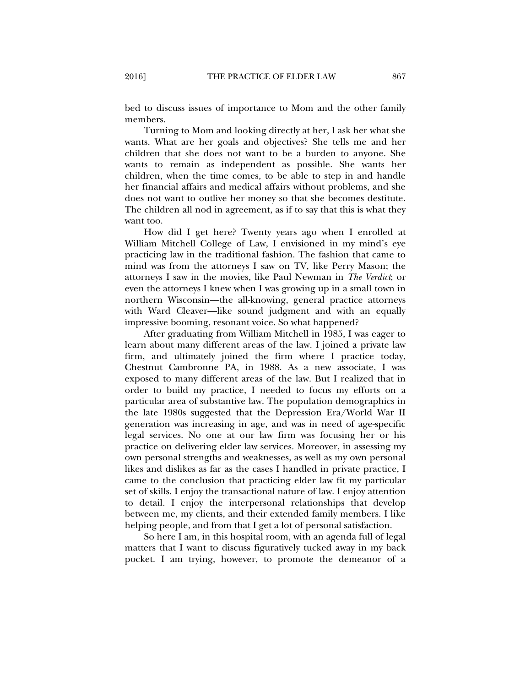bed to discuss issues of importance to Mom and the other family members.

Turning to Mom and looking directly at her, I ask her what she wants. What are her goals and objectives? She tells me and her children that she does not want to be a burden to anyone. She wants to remain as independent as possible. She wants her children, when the time comes, to be able to step in and handle her financial affairs and medical affairs without problems, and she does not want to outlive her money so that she becomes destitute. The children all nod in agreement, as if to say that this is what they want too.

How did I get here? Twenty years ago when I enrolled at William Mitchell College of Law, I envisioned in my mind's eye practicing law in the traditional fashion. The fashion that came to mind was from the attorneys I saw on TV, like Perry Mason; the attorneys I saw in the movies, like Paul Newman in *The Verdict*; or even the attorneys I knew when I was growing up in a small town in northern Wisconsin—the all-knowing, general practice attorneys with Ward Cleaver—like sound judgment and with an equally impressive booming, resonant voice. So what happened?

After graduating from William Mitchell in 1985, I was eager to learn about many different areas of the law. I joined a private law firm, and ultimately joined the firm where I practice today, Chestnut Cambronne PA, in 1988. As a new associate, I was exposed to many different areas of the law. But I realized that in order to build my practice, I needed to focus my efforts on a particular area of substantive law. The population demographics in the late 1980s suggested that the Depression Era/World War II generation was increasing in age, and was in need of age-specific legal services. No one at our law firm was focusing her or his practice on delivering elder law services. Moreover, in assessing my own personal strengths and weaknesses, as well as my own personal likes and dislikes as far as the cases I handled in private practice, I came to the conclusion that practicing elder law fit my particular set of skills. I enjoy the transactional nature of law. I enjoy attention to detail. I enjoy the interpersonal relationships that develop between me, my clients, and their extended family members. I like helping people, and from that I get a lot of personal satisfaction.

So here I am, in this hospital room, with an agenda full of legal matters that I want to discuss figuratively tucked away in my back pocket. I am trying, however, to promote the demeanor of a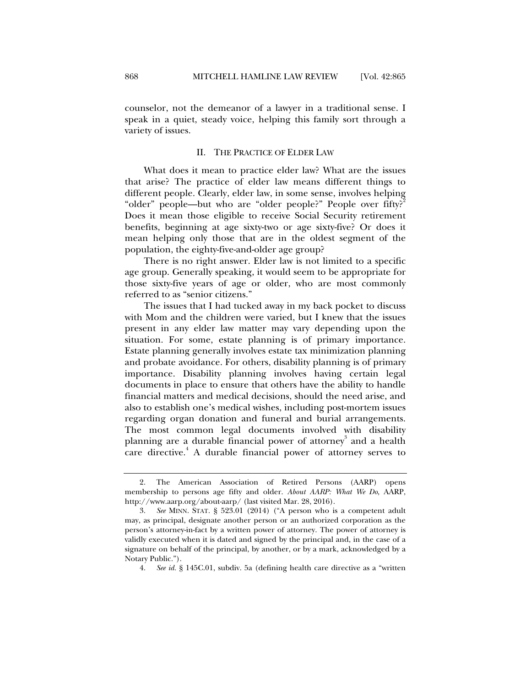counselor, not the demeanor of a lawyer in a traditional sense. I speak in a quiet, steady voice, helping this family sort through a variety of issues.

## II. THE PRACTICE OF ELDER LAW

What does it mean to practice elder law? What are the issues that arise? The practice of elder law means different things to different people. Clearly, elder law, in some sense, involves helping "older" people—but who are "older people?" People over fifty?<sup>2</sup> Does it mean those eligible to receive Social Security retirement benefits, beginning at age sixty-two or age sixty-five? Or does it mean helping only those that are in the oldest segment of the population, the eighty-five-and-older age group?

There is no right answer. Elder law is not limited to a specific age group. Generally speaking, it would seem to be appropriate for those sixty-five years of age or older, who are most commonly referred to as "senior citizens."

The issues that I had tucked away in my back pocket to discuss with Mom and the children were varied, but I knew that the issues present in any elder law matter may vary depending upon the situation. For some, estate planning is of primary importance. Estate planning generally involves estate tax minimization planning and probate avoidance. For others, disability planning is of primary importance. Disability planning involves having certain legal documents in place to ensure that others have the ability to handle financial matters and medical decisions, should the need arise, and also to establish one's medical wishes, including post-mortem issues regarding organ donation and funeral and burial arrangements. The most common legal documents involved with disability planning are a durable financial power of attorney<sup>3</sup> and a health care directive.<sup>4</sup> A durable financial power of attorney serves to

 <sup>2.</sup> The American Association of Retired Persons (AARP) opens membership to persons age fifty and older. *About AARP: What We Do*, AARP, http://www.aarp.org/about-aarp/ (last visited Mar. 28, 2016).

 <sup>3.</sup> *See* MINN. STAT. § 523.01 (2014) ("A person who is a competent adult may, as principal, designate another person or an authorized corporation as the person's attorney-in-fact by a written power of attorney. The power of attorney is validly executed when it is dated and signed by the principal and, in the case of a signature on behalf of the principal, by another, or by a mark, acknowledged by a Notary Public.").

 <sup>4.</sup> *See id.* § 145C.01, subdiv. 5a (defining health care directive as a "written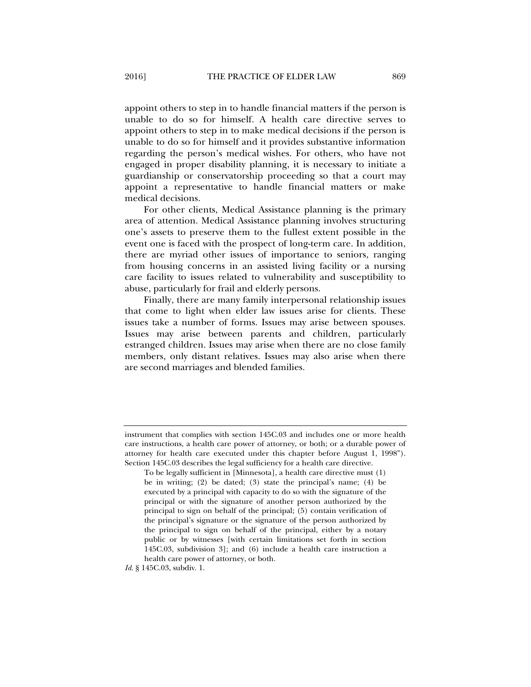appoint others to step in to handle financial matters if the person is unable to do so for himself. A health care directive serves to appoint others to step in to make medical decisions if the person is unable to do so for himself and it provides substantive information regarding the person's medical wishes. For others, who have not engaged in proper disability planning, it is necessary to initiate a guardianship or conservatorship proceeding so that a court may appoint a representative to handle financial matters or make medical decisions.

For other clients, Medical Assistance planning is the primary area of attention. Medical Assistance planning involves structuring one's assets to preserve them to the fullest extent possible in the event one is faced with the prospect of long-term care. In addition, there are myriad other issues of importance to seniors, ranging from housing concerns in an assisted living facility or a nursing care facility to issues related to vulnerability and susceptibility to abuse, particularly for frail and elderly persons.

Finally, there are many family interpersonal relationship issues that come to light when elder law issues arise for clients. These issues take a number of forms. Issues may arise between spouses. Issues may arise between parents and children, particularly estranged children. Issues may arise when there are no close family members, only distant relatives. Issues may also arise when there are second marriages and blended families.

*Id*. § 145C.03, subdiv. 1.

instrument that complies with section 145C.03 and includes one or more health care instructions, a health care power of attorney, or both; or a durable power of attorney for health care executed under this chapter before August 1, 1998"). Section 145C.03 describes the legal sufficiency for a health care directive.

To be legally sufficient in [Minnesota], a health care directive must (1) be in writing; (2) be dated; (3) state the principal's name; (4) be executed by a principal with capacity to do so with the signature of the principal or with the signature of another person authorized by the principal to sign on behalf of the principal; (5) contain verification of the principal's signature or the signature of the person authorized by the principal to sign on behalf of the principal, either by a notary public or by witnesses [with certain limitations set forth in section 145C.03, subdivision 3]; and (6) include a health care instruction a health care power of attorney, or both.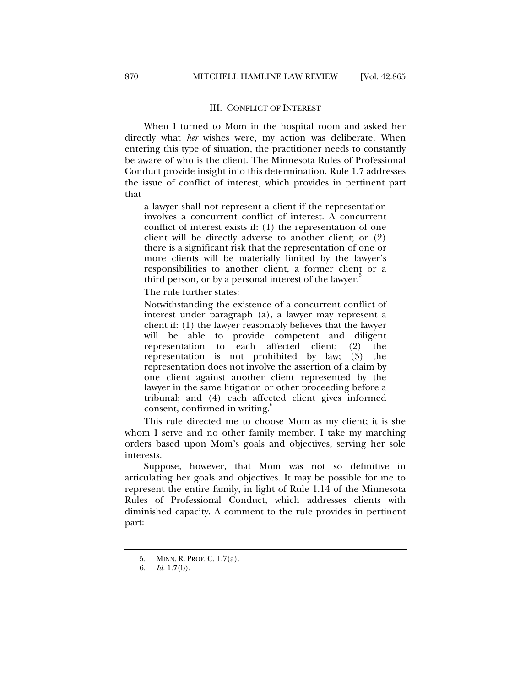#### III. CONFLICT OF INTEREST

When I turned to Mom in the hospital room and asked her directly what *her* wishes were, my action was deliberate. When entering this type of situation, the practitioner needs to constantly be aware of who is the client. The Minnesota Rules of Professional Conduct provide insight into this determination. Rule 1.7 addresses the issue of conflict of interest, which provides in pertinent part that

a lawyer shall not represent a client if the representation involves a concurrent conflict of interest. A concurrent conflict of interest exists if: (1) the representation of one client will be directly adverse to another client; or (2) there is a significant risk that the representation of one or more clients will be materially limited by the lawyer's responsibilities to another client, a former client or a third person, or by a personal interest of the lawyer.<sup>3</sup>

The rule further states:

Notwithstanding the existence of a concurrent conflict of interest under paragraph (a), a lawyer may represent a client if: (1) the lawyer reasonably believes that the lawyer will be able to provide competent and diligent representation to each affected client; (2) the representation is not prohibited by law; (3) the representation does not involve the assertion of a claim by one client against another client represented by the lawyer in the same litigation or other proceeding before a tribunal; and (4) each affected client gives informed consent, confirmed in writing.<sup>6</sup>

This rule directed me to choose Mom as my client; it is she whom I serve and no other family member. I take my marching orders based upon Mom's goals and objectives, serving her sole interests.

Suppose, however, that Mom was not so definitive in articulating her goals and objectives. It may be possible for me to represent the entire family, in light of Rule 1.14 of the Minnesota Rules of Professional Conduct, which addresses clients with diminished capacity. A comment to the rule provides in pertinent part:

 <sup>5.</sup> MINN. R. PROF. C. 1.7(a).

 <sup>6.</sup> *Id.* 1.7(b).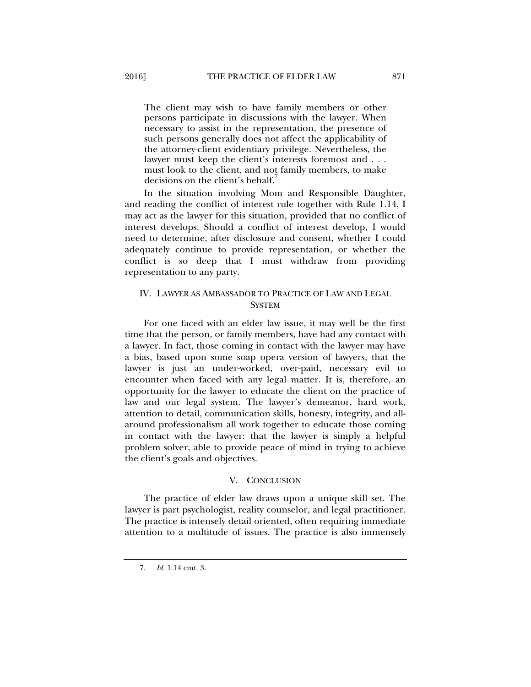The client may wish to have family members or other persons participate in discussions with the lawyer. When necessary to assist in the representation, the presence of such persons generally does not affect the applicability of the attorney-client evidentiary privilege. Nevertheless, the lawyer must keep the client's interests foremost and . . . must look to the client, and not family members, to make decisions on the client's behalf.

In the situation involving Mom and Responsible Daughter, and reading the conflict of interest rule together with Rule 1.14, I may act as the lawyer for this situation, provided that no conflict of interest develops. Should a conflict of interest develop, I would need to determine, after disclosure and consent, whether I could adequately continue to provide representation, or whether the conflict is so deep that I must withdraw from providing representation to any party.

# IV. LAWYER AS AMBASSADOR TO PRACTICE OF LAW AND LEGAL **SYSTEM**

For one faced with an elder law issue, it may well be the first time that the person, or family members, have had any contact with a lawyer. In fact, those coming in contact with the lawyer may have a bias, based upon some soap opera version of lawyers, that the lawyer is just an under-worked, over-paid, necessary evil to encounter when faced with any legal matter. It is, therefore, an opportunity for the lawyer to educate the client on the practice of law and our legal system. The lawyer's demeanor, hard work, attention to detail, communication skills, honesty, integrity, and allaround professionalism all work together to educate those coming in contact with the lawyer: that the lawyer is simply a helpful problem solver, able to provide peace of mind in trying to achieve the client's goals and objectives.

## V. CONCLUSION

The practice of elder law draws upon a unique skill set. The lawyer is part psychologist, reality counselor, and legal practitioner. The practice is intensely detail oriented, often requiring immediate attention to a multitude of issues. The practice is also immensely

 <sup>7.</sup> *Id.* 1.14 cmt. 3.